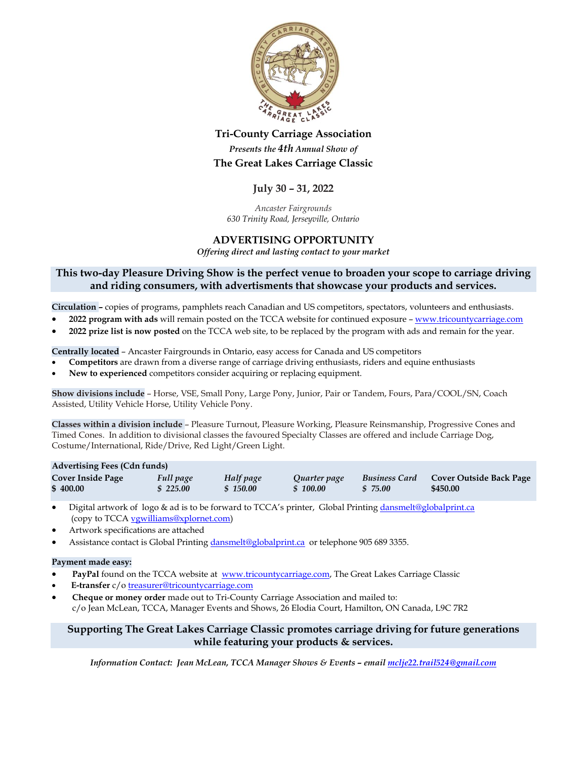

# **Tri-County Carriage Association** *Presents the 4th Annual Show of* **The Great Lakes Carriage Classic**

## **July 30 – 31, 2022**

*Ancaster Fairgrounds 630 Trinity Road, Jerseyville, Ontario*

## **ADVERTISING OPPORTUNITY**

*Offering direct and lasting contact to your market*

## **This two-day Pleasure Driving Show is the perfect venue to broaden your scope to carriage driving and riding consumers, with advertisments that showcase your products and services.**

**Circulation –** copies of programs, pamphlets reach Canadian and US competitors, spectators, volunteers and enthusiasts.

- **2022 program with ads** will remain posted on the TCCA website for continued exposure [www.tricountycarriage.com](http://www.tricountycarriage.com/)
- **2022 prize list is now posted** on the TCCA web site, to be replaced by the program with ads and remain for the year.

**Centrally located** – Ancaster Fairgrounds in Ontario, easy access for Canada and US competitors

- **Competitors** are drawn from a diverse range of carriage driving enthusiasts, riders and equine enthusiasts
- **New to experienced** competitors consider acquiring or replacing equipment.

**Show divisions include** – Horse, VSE, Small Pony, Large Pony, Junior, Pair or Tandem, Fours, Para/COOL/SN, Coach Assisted, Utility Vehicle Horse, Utility Vehicle Pony.

**Classes within a division include** – Pleasure Turnout, Pleasure Working, Pleasure Reinsmanship, Progressive Cones and Timed Cones. In addition to divisional classes the favoured Specialty Classes are offered and include Carriage Dog, Costume/International, Ride/Drive, Red Light/Green Light.

| <b>Advertising Fees (Cdn funds)</b> |           |           |              |                      |                                |  |  |  |
|-------------------------------------|-----------|-----------|--------------|----------------------|--------------------------------|--|--|--|
| <b>Cover Inside Page</b>            | Full page | Half page | Quarter page | <b>Business Card</b> | <b>Cover Outside Back Page</b> |  |  |  |
| \$400.00                            | \$225.00  | \$150.00  | \$100.00     | \$75.00              | \$450.00                       |  |  |  |

- Digital artwork of logo & ad is to be forward to TCCA's printer, Global Printin[g dansmelt@globalprint.ca](mailto:dansmelt@globalprint.ca) (copy to TCC[A vgwilliams@xplornet.com\)](mailto:vgwilliams@xplornet.com)
- Artwork specifications are attached
- Assistance contact is Global Printin[g dansmelt@globalprint.ca](mailto:dansmelt@globalprint.ca) or telephone 905 689 3355.

#### **Payment made easy:**

- **PayPal** found on the TCCA website at [www.tricountycarriage.com,](http://www.tricountycarriage.com/) The Great Lakes Carriage Classic
- **E-transfer** c/[o treasurer@tricountycarriage.com](mailto:treasurer@tricountycarriage.com)
- **Cheque or money order** made out to Tri-County Carriage Association and mailed to:

c/o Jean McLean, TCCA, Manager Events and Shows, 26 Elodia Court, Hamilton, ON Canada, L9C 7R2

## **Supporting The Great Lakes Carriage Classic promotes carriage driving for future generations while featuring your products & services.**

*Information Contact: Jean McLean, TCCA Manager Shows & Events – emai[l mclje22.trail524@gmail.com](mailto:mclje22.trail524@gmail.com)*